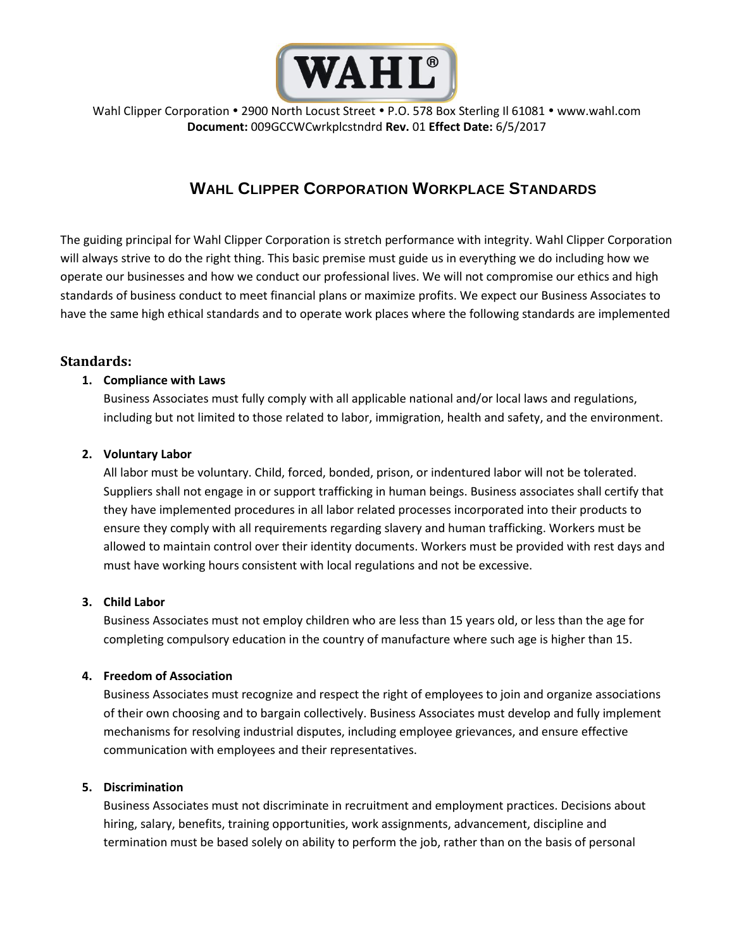

Wahl Clipper Corporation . 2900 North Locust Street . P.O. 578 Box Sterling II 61081 . www.wahl.com **Document:** 009GCCWCwrkplcstndrd **Rev.** 01 **Effect Date:** 6/5/2017

# **WAHL CLIPPER CORPORATION WORKPLACE STANDARDS**

The guiding principal for Wahl Clipper Corporation is stretch performance with integrity. Wahl Clipper Corporation will always strive to do the right thing. This basic premise must guide us in everything we do including how we operate our businesses and how we conduct our professional lives. We will not compromise our ethics and high standards of business conduct to meet financial plans or maximize profits. We expect our Business Associates to have the same high ethical standards and to operate work places where the following standards are implemented

# **Standards:**

# **1. Compliance with Laws**

Business Associates must fully comply with all applicable national and/or local laws and regulations, including but not limited to those related to labor, immigration, health and safety, and the environment.

# **2. Voluntary Labor**

All labor must be voluntary. Child, forced, bonded, prison, or indentured labor will not be tolerated. Suppliers shall not engage in or support trafficking in human beings. Business associates shall certify that they have implemented procedures in all labor related processes incorporated into their products to ensure they comply with all requirements regarding slavery and human trafficking. Workers must be allowed to maintain control over their identity documents. Workers must be provided with rest days and must have working hours consistent with local regulations and not be excessive.

# **3. Child Labor**

Business Associates must not employ children who are less than 15 years old, or less than the age for completing compulsory education in the country of manufacture where such age is higher than 15.

# **4. Freedom of Association**

Business Associates must recognize and respect the right of employees to join and organize associations of their own choosing and to bargain collectively. Business Associates must develop and fully implement mechanisms for resolving industrial disputes, including employee grievances, and ensure effective communication with employees and their representatives.

# **5. Discrimination**

Business Associates must not discriminate in recruitment and employment practices. Decisions about hiring, salary, benefits, training opportunities, work assignments, advancement, discipline and termination must be based solely on ability to perform the job, rather than on the basis of personal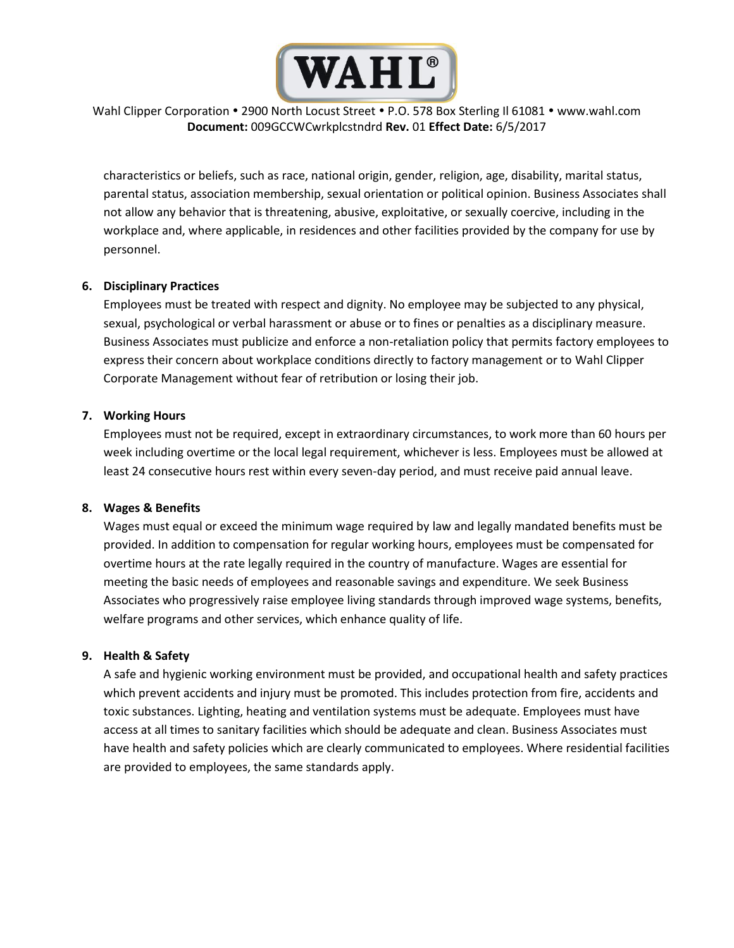

# Wahl Clipper Corporation . 2900 North Locust Street . P.O. 578 Box Sterling II 61081 . www.wahl.com **Document:** 009GCCWCwrkplcstndrd **Rev.** 01 **Effect Date:** 6/5/2017

characteristics or beliefs, such as race, national origin, gender, religion, age, disability, marital status, parental status, association membership, sexual orientation or political opinion. Business Associates shall not allow any behavior that is threatening, abusive, exploitative, or sexually coercive, including in the workplace and, where applicable, in residences and other facilities provided by the company for use by personnel.

#### **6. Disciplinary Practices**

Employees must be treated with respect and dignity. No employee may be subjected to any physical, sexual, psychological or verbal harassment or abuse or to fines or penalties as a disciplinary measure. Business Associates must publicize and enforce a non-retaliation policy that permits factory employees to express their concern about workplace conditions directly to factory management or to Wahl Clipper Corporate Management without fear of retribution or losing their job.

#### **7. Working Hours**

Employees must not be required, except in extraordinary circumstances, to work more than 60 hours per week including overtime or the local legal requirement, whichever is less. Employees must be allowed at least 24 consecutive hours rest within every seven-day period, and must receive paid annual leave.

#### **8. Wages & Benefits**

Wages must equal or exceed the minimum wage required by law and legally mandated benefits must be provided. In addition to compensation for regular working hours, employees must be compensated for overtime hours at the rate legally required in the country of manufacture. Wages are essential for meeting the basic needs of employees and reasonable savings and expenditure. We seek Business Associates who progressively raise employee living standards through improved wage systems, benefits, welfare programs and other services, which enhance quality of life.

# **9. Health & Safety**

A safe and hygienic working environment must be provided, and occupational health and safety practices which prevent accidents and injury must be promoted. This includes protection from fire, accidents and toxic substances. Lighting, heating and ventilation systems must be adequate. Employees must have access at all times to sanitary facilities which should be adequate and clean. Business Associates must have health and safety policies which are clearly communicated to employees. Where residential facilities are provided to employees, the same standards apply.